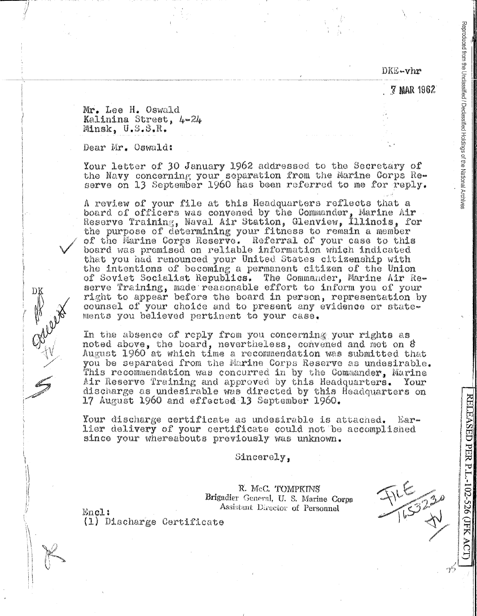DKE-vhr

**7 MAR 1962** 

Reproduced from the Unclassified i / Declassified Holdings of the National Archives

Mr. Lee H. Oswald Kalinina Street, 4-24 Minsk, U.S.S.R.

Dear Mr. Oswald:

Your letter of 30 January 1962 addressed to the Secretary of the Navy concerning your separation from the Marine Corps Reserve on 13 September 1960 has been referred to me for reply.

A review of your file at this Headquarters reflects that a board of officers was convened by the Commander, Marine Air Reserve Training, Naval Air Station, Glenview, Illinois, for the purpose of determining your fitness to remain a member of the Marine Corps Reserve. Referral of your case to this board was premised on reliable information which indicated that you had renounced your United States citizenship with the intentions of becoming a permanent citizen of the Union of Soviet Socialist Republics. The Commander, Marine Air Reserve Training, made reasonable effort to inform you of your right to appear before the board in person, representation by counsel of your choice and to present any evidence or statements you believed pertinent to your case.

In the absence of reply from you concerning your rights as noted above, the board, nevertheless, convened and met on 8 August 1960 at which time a recommendation was submitted that you be separated from the Marine Corps Reserve as undesirable. This recommendation was concurred in by the Commander, Marine Air Reserve Training and approved by this Headquarters. Your discharge as undesirable was directed by this Headquarters on 17 August 1960 and effected 13 September 1960.

Your discharge certificate as undesirable is attached.  $E \otimes Y$ lier delivery of your certificate could not be accomplished since your whereabouts previously was unknown.

Sincerely,

R. McC. TOMPKINS Brigadier General, U. S. Marine Corps Assistant Director of Personnel

开发  $\frac{2}{x}$ 

RELEASED PER P.L.-102-526 (JFK AC

Encl: (1) Discharge Certificate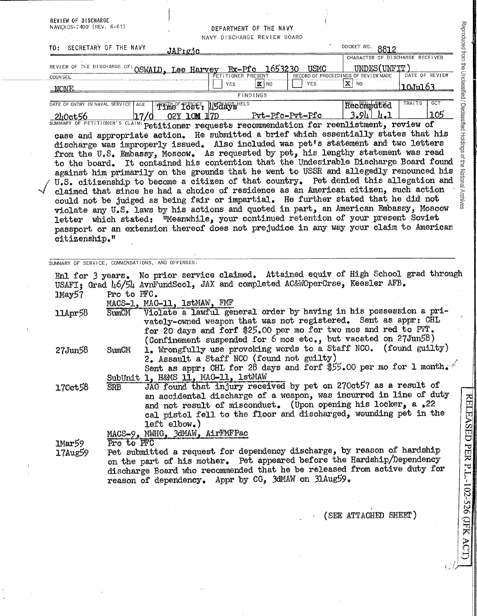| REVIEW OF DISCHARGE            |                                                                                                                                                                                                                                                                                                                                                                                                                                                                                                                                                                                                                                                                                                                                                                                                                                                                                                                                                                                           |                        |                                                                                                                                                                                                                                                                                      |                 |                                                                                         |                                                                                   |
|--------------------------------|-------------------------------------------------------------------------------------------------------------------------------------------------------------------------------------------------------------------------------------------------------------------------------------------------------------------------------------------------------------------------------------------------------------------------------------------------------------------------------------------------------------------------------------------------------------------------------------------------------------------------------------------------------------------------------------------------------------------------------------------------------------------------------------------------------------------------------------------------------------------------------------------------------------------------------------------------------------------------------------------|------------------------|--------------------------------------------------------------------------------------------------------------------------------------------------------------------------------------------------------------------------------------------------------------------------------------|-----------------|-----------------------------------------------------------------------------------------|-----------------------------------------------------------------------------------|
| NAVEXOS-2409 (REV. 6-61)       |                                                                                                                                                                                                                                                                                                                                                                                                                                                                                                                                                                                                                                                                                                                                                                                                                                                                                                                                                                                           |                        | DEPARTMENT OF THE NAVY<br>NAVY DISCHARGE REVIEW BOARD                                                                                                                                                                                                                                |                 |                                                                                         |                                                                                   |
| TO: SECRETARY OF THE NAVY      |                                                                                                                                                                                                                                                                                                                                                                                                                                                                                                                                                                                                                                                                                                                                                                                                                                                                                                                                                                                           | JAP:gjc                |                                                                                                                                                                                                                                                                                      |                 | DOCKET NO 8812                                                                          |                                                                                   |
| REVIEW OF THE DISCHARGE OF:    |                                                                                                                                                                                                                                                                                                                                                                                                                                                                                                                                                                                                                                                                                                                                                                                                                                                                                                                                                                                           | OSWAID, Lee Harvey     | Ex-Pfc 1653230<br>PETITIONER PRESENT                                                                                                                                                                                                                                                 | <b>USMC</b>     | CHARACTER OF DISCHARGE RECEIVED<br>UNDES(UNFIT)<br>RECORD OF PROCEEDINGS OF REVIEW MADE | DATE OF REVIEW                                                                    |
| <b>COUNSEL</b><br>_NONE        |                                                                                                                                                                                                                                                                                                                                                                                                                                                                                                                                                                                                                                                                                                                                                                                                                                                                                                                                                                                           |                        | $R$ NO<br><b>YES</b>                                                                                                                                                                                                                                                                 | YES             | $X$ NO                                                                                  | <u> 10Ju163</u>                                                                   |
|                                |                                                                                                                                                                                                                                                                                                                                                                                                                                                                                                                                                                                                                                                                                                                                                                                                                                                                                                                                                                                           |                        | <b>FINDINGS</b>                                                                                                                                                                                                                                                                      |                 |                                                                                         |                                                                                   |
| DATE OF ENTRY IN NAVAL SERVICE | <b>AGE</b>                                                                                                                                                                                                                                                                                                                                                                                                                                                                                                                                                                                                                                                                                                                                                                                                                                                                                                                                                                                | Time Tost: USdays HELD |                                                                                                                                                                                                                                                                                      |                 | <b>Recomputed</b><br>$3.94$ $4.1$                                                       | TRAITS<br>GCT<br>105                                                              |
| <u>240ct56</u>                 | 17/0<br>SUMMARY OF PETITIONER'S CLAIM: Petitioner requests recommendation for reenlistment, review of                                                                                                                                                                                                                                                                                                                                                                                                                                                                                                                                                                                                                                                                                                                                                                                                                                                                                     | 02Y 10M 17D            |                                                                                                                                                                                                                                                                                      | Pvt-Pfc-Pvt-Pfc |                                                                                         |                                                                                   |
| citizenship."                  | case and appropriate action. He submitted a brief which essentially states that his<br>discharge was improperly issued. Also included was pet's statement and two letters<br>from the U.S. Embassy, Moscow. As requested by pet, his lengthy statement was read<br>to the board. It contained his contention that the Undesirable Discharge Board found<br>against him primarily on the grounds that he went to USSR and allegedly renounced his<br>U.S. citizenship to become a citizen of that country. Pet denied this allegation and<br>claimed that since he had a choice of residence as an American citizen, such action<br>could not be judged as being fair or impartial. He further stated that he did not<br>violate any U.S. laws by his actions and quoted in part, an American Embassy, Moscow<br>letter which stated: "Meanwhile, your continued retention of your present Soviet<br>passport or an extension thereof does not prejudice in any way your claim to American |                        |                                                                                                                                                                                                                                                                                      |                 |                                                                                         | Reproduced from the Unclassified / Declassified Holdings of the National Archives |
| $1$ May $57$<br>$11$ Apr $58$  | USAFI; Grad 46/54 AvnFundScol, JAX and completed AC&WOperCrse, Keesler AFB.<br>Pro to PFC.<br>MACS-1, MAC-11, 1stMAW, FMF<br>SumCM                                                                                                                                                                                                                                                                                                                                                                                                                                                                                                                                                                                                                                                                                                                                                                                                                                                        |                        | Violate a lawful general order by having in his possession a pri-<br>vately-owned weapon that was not registered. Sent as appr: CHL<br>for 20 days and forf \$25.00 per mo for two mos and red to PVT.                                                                               |                 |                                                                                         |                                                                                   |
| 27Jun58                        | SumCM                                                                                                                                                                                                                                                                                                                                                                                                                                                                                                                                                                                                                                                                                                                                                                                                                                                                                                                                                                                     |                        | (Confinement suspended for $6 \text{ mos}$ etc., but vacated on 27Jun58)<br>1. Wrongfully use provoking words to a Staff NCO. (found guilty)<br>2. Assault a Staff NCO (found not guilty)<br>Sent as appr: CHL for 28 days and forf \$55.00 per mo for 1 month.                      |                 |                                                                                         |                                                                                   |
| 170ct58                        | SubUnit 1, H&MS 11, MAG-11, 1stMAW<br><b>SRB</b>                                                                                                                                                                                                                                                                                                                                                                                                                                                                                                                                                                                                                                                                                                                                                                                                                                                                                                                                          | $let$ t elbow.)        | JAG found that injury received by pet on 270ct57 as a result of<br>an accidental discharge of a weapon, was incurred in line of duty<br>and not result of misconduct. (Upon opening his locker, a.22<br>cal pistol fell to the floor and discharged, wounding pet in the             |                 |                                                                                         |                                                                                   |
| Imar59<br>$17$ Aug $59$        | MACS-9, MWHG, 3dMAW, AirFMFPac<br>Pro to PFC                                                                                                                                                                                                                                                                                                                                                                                                                                                                                                                                                                                                                                                                                                                                                                                                                                                                                                                                              |                        | Pet submitted a request for dependency discharge, by reason of hardship<br>on the part of his mother. Pet appeared before the Hardship/Dependency<br>discharge Board who recommended that he be released from active duty for<br>reason of dependency. Appr by CG, 3dMAW on 3lAug59. |                 |                                                                                         |                                                                                   |
|                                |                                                                                                                                                                                                                                                                                                                                                                                                                                                                                                                                                                                                                                                                                                                                                                                                                                                                                                                                                                                           |                        |                                                                                                                                                                                                                                                                                      |                 | (SEE ATTACHED SHEET)                                                                    |                                                                                   |

 $\hat{\boldsymbol{\gamma}}$ 

 $\hat{\boldsymbol{\beta}}$ 

 $\begin{array}{c} 1 \\ 1 \\ 2 \end{array}$ 

 $\ddot{\phantom{0}}$ 

ACT)

 $\zeta^*$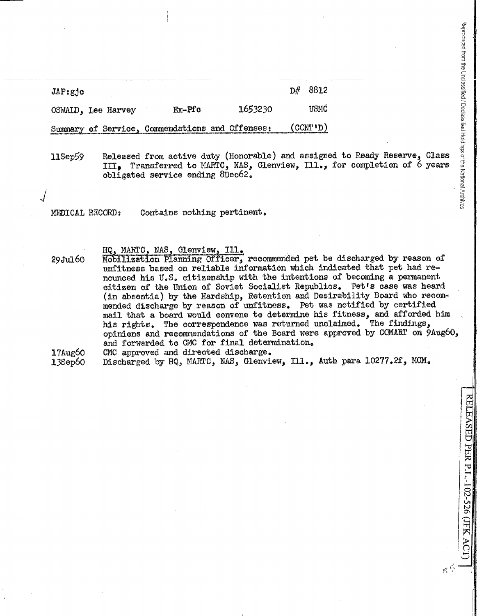| $JAP:g_1c$         |  |                                                                                                                                                                                                                                                                                  |         | $\mathbb{D}^{\mathcal{H}}$ | 8812                                     |
|--------------------|--|----------------------------------------------------------------------------------------------------------------------------------------------------------------------------------------------------------------------------------------------------------------------------------|---------|----------------------------|------------------------------------------|
| OSWALD, Lee Harvey |  | $Fx - Pfc$                                                                                                                                                                                                                                                                       | 1653230 |                            | <b>USMC</b>                              |
|                    |  | Summary of Service, Commendations and Offenses:<br>Ditchnology with the model of the company of the company of the company of the company of the company of the company of the company of the company of the company of the company of the company of the company of the company |         |                            | $\text{CONT}^{\dagger}$ (CONT $\text{'}$ |

11Sep59 Released from active duty (Honorable) and assigned to Ready Reserve, Class III. Transferred to MARTC, NAS, Glenview, Ill., for completion of 6 years obligated service ending 8Deo62.

MEDICAL RECORD: Contains nothing pertinent.

HQ, MARTC, NAS, Glenview, Ill.

- 29Jul60 Mobilization Planning Officer, recommended pet be discharged by reason of unfitness based on reliable information which indicated that pet had renounced his U.S. citizenship with the intentions of becoming a permanent citizen of the Union of Soviet Socialist Republics. Pet's case was heard (in absentia) by the Hardship, Retention and Desirability Board who recommended discharge by reason of unfitness. Pet was notified by certified mail that a board would convene to determine his fitness, and afforded him his rights. The correspondence was returned unclaimed. The findings, opinions and recommendations of the Board were approved by COMART on 9Aug60, and forwarded to CMC for final determination.
- l7Aug60 CMC approved and directed discharge.

13Sep6o Discharged by HQ, MARTC, NAS, Glenview, Ill., Auth para 10277.2f, MCM.

RELEASED PER P.L.-102-526 (JFK ACT)